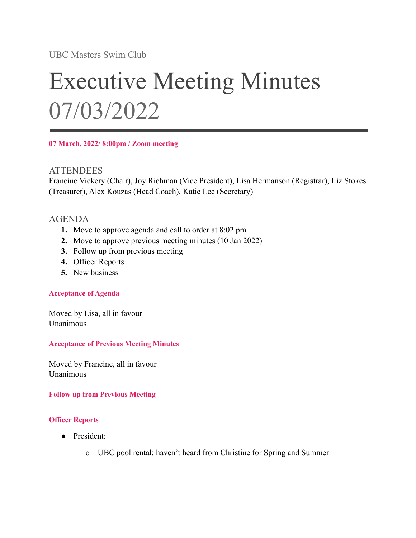UBC Masters Swim Club

# Executive Meeting Minutes 07/03/2022

**07 March, 2022/ 8:00pm / Zoom meeting**

#### **ATTENDEES**

Francine Vickery (Chair), Joy Richman (Vice President), Lisa Hermanson (Registrar), Liz Stokes (Treasurer), Alex Kouzas (Head Coach), Katie Lee (Secretary)

### AGENDA

- **1.** Move to approve agenda and call to order at 8:02 pm
- **2.** Move to approve previous meeting minutes (10 Jan 2022)
- **3.** Follow up from previous meeting
- **4.** Officer Reports
- **5.** New business

#### **Acceptance of Agenda**

Moved by Lisa, all in favour Unanimous

#### **Acceptance of Previous Meeting Minutes**

Moved by Francine, all in favour Unanimous

#### **Follow up from Previous Meeting**

#### **Officer Reports**

- President:
	- o UBC pool rental: haven't heard from Christine for Spring and Summer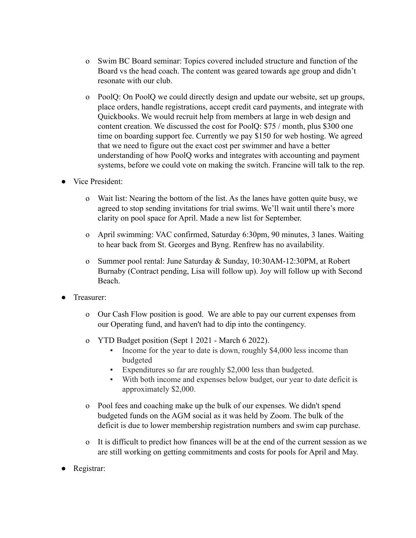- o Swim BC Board seminar: Topics covered included structure and function of the Board vs the head coach. The content was geared towards age group and didn't resonate with our club.
- o PoolQ: On PoolQ we could directly design and update our website, set up groups, place orders, handle registrations, accept credit card payments, and integrate with Quickbooks. We would recruit help from members at large in web design and content creation. We discussed the cost for PoolQ: \$75 / month, plus \$300 one time on boarding support fee. Currently we pay \$150 for web hosting. We agreed that we need to figure out the exact cost per swimmer and have a better understanding of how PoolQ works and integrates with accounting and payment systems, before we could vote on making the switch. Francine will talk to the rep.
- Vice President:
	- o Wait list: Nearing the bottom of the list. As the lanes have gotten quite busy, we agreed to stop sending invitations for trial swims. We'll wait until there's more clarity on pool space for April. Made a new list for September.
	- o April swimming: VAC confirmed, Saturday 6:30pm, 90 minutes, 3 lanes. Waiting to hear back from St. Georges and Byng. Renfrew has no availability.
	- o Summer pool rental: June Saturday & Sunday, 10:30AM-12:30PM, at Robert Burnaby (Contract pending, Lisa will follow up). Joy will follow up with Second Beach.
- Treasurer:
	- o Our Cash Flow position is good. We are able to pay our current expenses from our Operating fund, and haven't had to dip into the contingency.
	- o YTD Budget position (Sept 1 2021 March 6 2022).
		- Income for the year to date is down, roughly \$4,000 less income than budgeted
		- Expenditures so far are roughly \$2,000 less than budgeted.
		- With both income and expenses below budget, our year to date deficit is approximately \$2,000.
	- o Pool fees and coaching make up the bulk of our expenses. We didn't spend budgeted funds on the AGM social as it was held by Zoom. The bulk of the deficit is due to lower membership registration numbers and swim cap purchase.
	- o It is difficult to predict how finances will be at the end of the current session as we are still working on getting commitments and costs for pools for April and May.
- Registrar: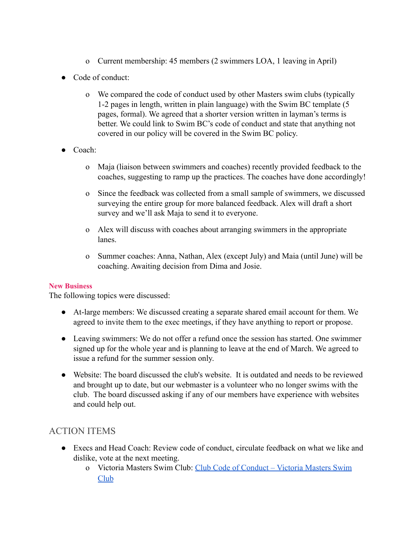- o Current membership: 45 members (2 swimmers LOA, 1 leaving in April)
- Code of conduct:
	- o We compared the code of conduct used by other Masters swim clubs (typically 1-2 pages in length, written in plain language) with the Swim BC template (5 pages, formal). We agreed that a shorter version written in layman's terms is better. We could link to Swim BC's code of conduct and state that anything not covered in our policy will be covered in the Swim BC policy.
- Coach:
	- o Maja (liaison between swimmers and coaches) recently provided feedback to the coaches, suggesting to ramp up the practices. The coaches have done accordingly!
	- o Since the feedback was collected from a small sample of swimmers, we discussed surveying the entire group for more balanced feedback. Alex will draft a short survey and we'll ask Maja to send it to everyone.
	- o Alex will discuss with coaches about arranging swimmers in the appropriate lanes.
	- o Summer coaches: Anna, Nathan, Alex (except July) and Maia (until June) will be coaching. Awaiting decision from Dima and Josie.

#### **New Business**

The following topics were discussed:

- At-large members: We discussed creating a separate shared email account for them. We agreed to invite them to the exec meetings, if they have anything to report or propose.
- Leaving swimmers: We do not offer a refund once the session has started. One swimmer signed up for the whole year and is planning to leave at the end of March. We agreed to issue a refund for the summer session only.
- Website: The board discussed the club's website. It is outdated and needs to be reviewed and brought up to date, but our webmaster is a volunteer who no longer swims with the club. The board discussed asking if any of our members have experience with websites and could help out.

## ACTION ITEMS

- Execs and Head Coach: Review code of conduct, circulate feedback on what we like and dislike, vote at the next meeting.
	- o Victoria Masters Swim Club: [Club Code of Conduct –](https://victoriamasters.ca/workouts/club-code-of-conduct/) Victoria Masters Swim [Club](https://victoriamasters.ca/workouts/club-code-of-conduct/)